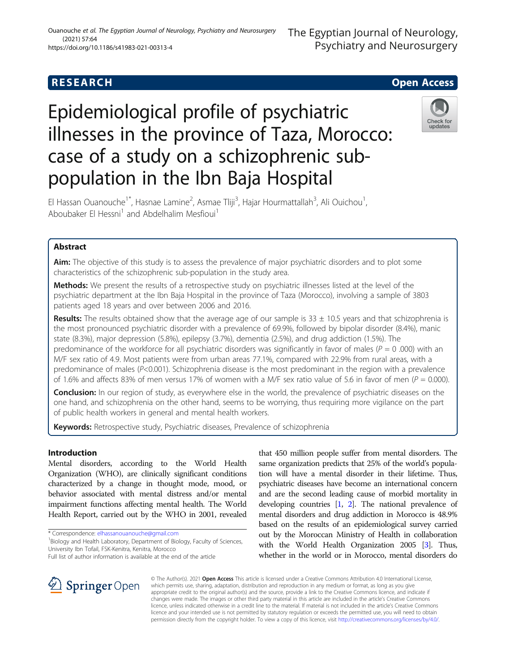## **RESEARCH CHE Open Access**

# Epidemiological profile of psychiatric illnesses in the province of Taza, Morocco: case of a study on a schizophrenic subpopulation in the Ibn Baja Hospital

El Hassan Ouanouche<sup>1\*</sup>, Hasnae Lamine<sup>2</sup>, Asmae Tliji<sup>3</sup>, Hajar Hourmattallah<sup>3</sup>, Ali Ouichou<sup>1</sup> , Aboubaker El Hessni<sup>1</sup> and Abdelhalim Mesfioui<sup>1</sup>

## Abstract

**Aim:** The objective of this study is to assess the prevalence of major psychiatric disorders and to plot some characteristics of the schizophrenic sub-population in the study area.

Methods: We present the results of a retrospective study on psychiatric illnesses listed at the level of the psychiatric department at the Ibn Baja Hospital in the province of Taza (Morocco), involving a sample of 3803 patients aged 18 years and over between 2006 and 2016.

Results: The results obtained show that the average age of our sample is  $33 \pm 10.5$  years and that schizophrenia is the most pronounced psychiatric disorder with a prevalence of 69.9%, followed by bipolar disorder (8.4%), manic state (8.3%), major depression (5.8%), epilepsy (3.7%), dementia (2.5%), and drug addiction (1.5%). The predominance of the workforce for all psychiatric disorders was significantly in favor of males ( $P = 0$  .000) with an M/F sex ratio of 4.9. Most patients were from urban areas 77.1%, compared with 22.9% from rural areas, with a predominance of males (P<0.001). Schizophrenia disease is the most predominant in the region with a prevalence of 1.6% and affects 83% of men versus 17% of women with a M/F sex ratio value of 5.6 in favor of men ( $P = 0.000$ ).

**Conclusion:** In our region of study, as everywhere else in the world, the prevalence of psychiatric diseases on the one hand, and schizophrenia on the other hand, seems to be worrying, thus requiring more vigilance on the part of public health workers in general and mental health workers.

Keywords: Retrospective study, Psychiatric diseases, Prevalence of schizophrenia

## Introduction

Mental disorders, according to the World Health Organization (WHO), are clinically significant conditions characterized by a change in thought mode, mood, or behavior associated with mental distress and/or mental impairment functions affecting mental health. The World Health Report, carried out by the WHO in 2001, revealed

\* Correspondence: [elhassanouanouche@gmail.com](mailto:elhassanouanouche@gmail.com) <sup>1</sup>

<sup>1</sup>Biology and Health Laboratory, Department of Biology, Faculty of Sciences, University Ibn Tofail, FSK-Kenitra, Kenitra, Morocco

that 450 million people suffer from mental disorders. The same organization predicts that 25% of the world's population will have a mental disorder in their lifetime. Thus, psychiatric diseases have become an international concern and are the second leading cause of morbid mortality in developing countries [\[1](#page-5-0), [2](#page-5-0)]. The national prevalence of mental disorders and drug addiction in Morocco is 48.9% based on the results of an epidemiological survey carried out by the Moroccan Ministry of Health in collaboration with the World Health Organization 2005 [[3](#page-5-0)]. Thus, whether in the world or in Morocco, mental disorders do



© The Author(s). 2021 Open Access This article is licensed under a Creative Commons Attribution 4.0 International License, which permits use, sharing, adaptation, distribution and reproduction in any medium or format, as long as you give appropriate credit to the original author(s) and the source, provide a link to the Creative Commons licence, and indicate if changes were made. The images or other third party material in this article are included in the article's Creative Commons licence, unless indicated otherwise in a credit line to the material. If material is not included in the article's Creative Commons licence and your intended use is not permitted by statutory regulation or exceeds the permitted use, you will need to obtain permission directly from the copyright holder. To view a copy of this licence, visit <http://creativecommons.org/licenses/by/4.0/>.



Full list of author information is available at the end of the article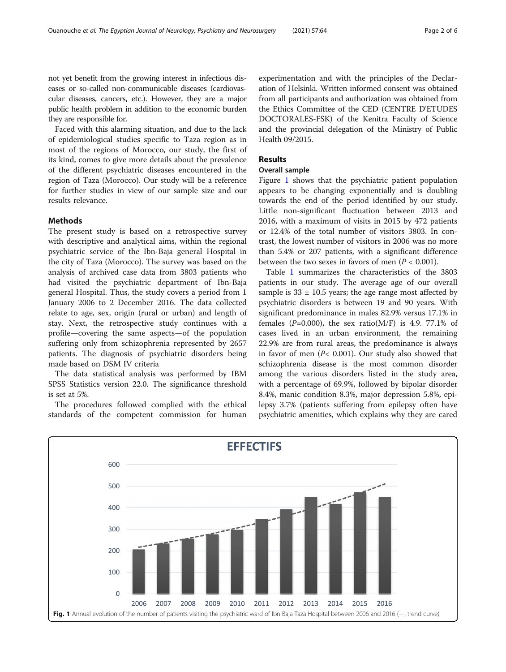not yet benefit from the growing interest in infectious diseases or so-called non-communicable diseases (cardiovascular diseases, cancers, etc.). However, they are a major public health problem in addition to the economic burden they are responsible for.

Faced with this alarming situation, and due to the lack of epidemiological studies specific to Taza region as in most of the regions of Morocco, our study, the first of its kind, comes to give more details about the prevalence of the different psychiatric diseases encountered in the region of Taza (Morocco). Our study will be a reference for further studies in view of our sample size and our results relevance.

## **Methods**

The present study is based on a retrospective survey with descriptive and analytical aims, within the regional psychiatric service of the Ibn-Baja general Hospital in the city of Taza (Morocco). The survey was based on the analysis of archived case data from 3803 patients who had visited the psychiatric department of Ibn-Baja general Hospital. Thus, the study covers a period from 1 January 2006 to 2 December 2016. The data collected relate to age, sex, origin (rural or urban) and length of stay. Next, the retrospective study continues with a profile—covering the same aspects—of the population suffering only from schizophrenia represented by 2657 patients. The diagnosis of psychiatric disorders being made based on DSM IV criteria

The data statistical analysis was performed by IBM SPSS Statistics version 22.0. The significance threshold is set at 5%.

The procedures followed complied with the ethical standards of the competent commission for human

experimentation and with the principles of the Declaration of Helsinki. Written informed consent was obtained from all participants and authorization was obtained from the Ethics Committee of the CED (CENTRE D'ETUDES DOCTORALES-FSK) of the Kenitra Faculty of Science and the provincial delegation of the Ministry of Public Health 09/2015.

## Results

## Overall sample

Figure 1 shows that the psychiatric patient population appears to be changing exponentially and is doubling towards the end of the period identified by our study. Little non-significant fluctuation between 2013 and 2016, with a maximum of visits in 2015 by 472 patients or 12.4% of the total number of visitors 3803. In contrast, the lowest number of visitors in 2006 was no more than 5.4% or 207 patients, with a significant difference between the two sexes in favors of men  $(P < 0.001)$ .

Table [1](#page-2-0) summarizes the characteristics of the 3803 patients in our study. The average age of our overall sample is  $33 \pm 10.5$  years; the age range most affected by psychiatric disorders is between 19 and 90 years. With significant predominance in males 82.9% versus 17.1% in females ( $P=0.000$ ), the sex ratio( $M/F$ ) is 4.9. 77.1% of cases lived in an urban environment, the remaining 22.9% are from rural areas, the predominance is always in favor of men  $(P< 0.001)$ . Our study also showed that schizophrenia disease is the most common disorder among the various disorders listed in the study area, with a percentage of 69.9%, followed by bipolar disorder 8.4%, manic condition 8.3%, major depression 5.8%, epilepsy 3.7% (patients suffering from epilepsy often have psychiatric amenities, which explains why they are cared

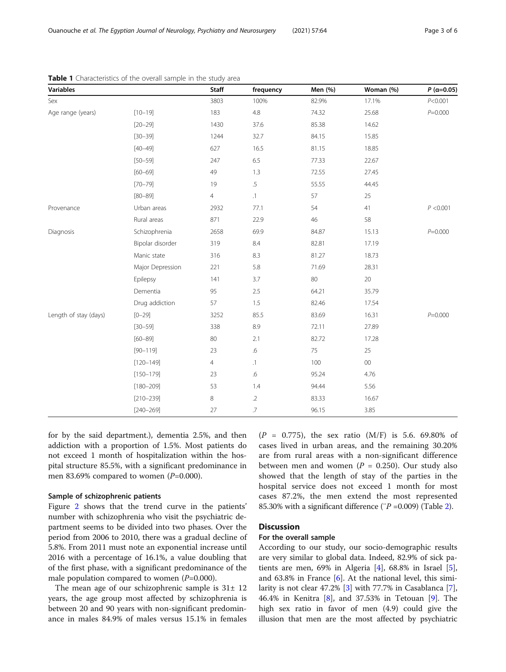| <b>Variables</b>      |                  | <b>Staff</b>   | frequency       | Men (%) | Woman (%) | $P$ (a=0.05) |
|-----------------------|------------------|----------------|-----------------|---------|-----------|--------------|
| Sex                   |                  | 3803           | 100%            | 82.9%   | 17.1%     | P< 0.001     |
| Age range (years)     | $[10 - 19]$      | 183            | $4.8\,$         | 74.32   | 25.68     | $P = 0.000$  |
|                       | $[20 - 29]$      | 1430           | 37.6            | 85.38   | 14.62     |              |
|                       | $[30 - 39]$      | 1244           | 32.7            | 84.15   | 15.85     |              |
|                       | $[40 - 49]$      | 627            | 16.5            | 81.15   | 18.85     |              |
|                       | $[50 - 59]$      | 247            | 6.5             | 77.33   | 22.67     |              |
|                       | $[60 - 69]$      | 49             | 1.3             | 72.55   | 27.45     |              |
|                       | $[70 - 79]$      | 19             | $\overline{.5}$ | 55.55   | 44.45     |              |
|                       | $[80 - 89]$      | $\overline{4}$ | $\cdot$ 1       | 57      | 25        |              |
| Provenance            | Urban areas      | 2932           | 77.1            | 54      | 41        | P < 0.001    |
|                       | Rural areas      | 871            | 22.9            | 46      | 58        |              |
| Diagnosis             | Schizophrenia    | 2658           | 69.9            | 84.87   | 15.13     | $P = 0.000$  |
|                       | Bipolar disorder | 319            | 8.4             | 82.81   | 17.19     |              |
|                       | Manic state      | 316            | 8.3             | 81.27   | 18.73     |              |
|                       | Major Depression | 221            | 5.8             | 71.69   | 28.31     |              |
|                       | Epilepsy         | 141            | 3.7             | 80      | 20        |              |
|                       | Dementia         | 95             | 2.5             | 64.21   | 35.79     |              |
|                       | Drug addiction   | 57             | 1.5             | 82.46   | 17.54     |              |
| Length of stay (days) | $[0 - 29]$       | 3252           | 85.5            | 83.69   | 16.31     | $P = 0.000$  |
|                       | $[30 - 59]$      | 338            | 8.9             | 72.11   | 27.89     |              |
|                       | $[60 - 89]$      | 80             | 2.1             | 82.72   | 17.28     |              |
|                       | $[90 - 119]$     | 23             | $.6\,$          | 75      | 25        |              |
|                       | $[120 - 149]$    | $\overline{4}$ | $\cdot$ 1       | 100     | $00\,$    |              |
|                       | $[150 - 179]$    | 23             | $.6\,$          | 95.24   | 4.76      |              |
|                       | $[180 - 209]$    | 53             | 1.4             | 94.44   | 5.56      |              |
|                       | $[210 - 239]$    | $\,8\,$        | $.2\,$          | 83.33   | 16.67     |              |
|                       | $[240 - 269]$    | 27             | $\overline{J}$  | 96.15   | 3.85      |              |

<span id="page-2-0"></span>Table 1 Characteristics of the overall sample in the study area

for by the said department.), dementia 2.5%, and then addiction with a proportion of 1.5%. Most patients do not exceed 1 month of hospitalization within the hospital structure 85.5%, with a significant predominance in men 83.69% compared to women  $(P=0.000)$ .

## Sample of schizophrenic patients

Figure [2](#page-3-0) shows that the trend curve in the patients' number with schizophrenia who visit the psychiatric department seems to be divided into two phases. Over the period from 2006 to 2010, there was a gradual decline of 5.8%. From 2011 must note an exponential increase until 2016 with a percentage of 16.1%, a value doubling that of the first phase, with a significant predominance of the male population compared to women  $(P=0.000)$ .

The mean age of our schizophrenic sample is  $31 \pm 12$ years, the age group most affected by schizophrenia is between 20 and 90 years with non-significant predominance in males 84.9% of males versus 15.1% in females  $(P = 0.775)$ , the sex ratio  $(M/F)$  is 5.6. 69.80% of cases lived in urban areas, and the remaining 30.20% are from rural areas with a non-significant difference between men and women ( $P = 0.250$ ). Our study also showed that the length of stay of the parties in the hospital service does not exceed 1 month for most cases 87.2%, the men extend the most represented 85.30% with a significant difference ( $\degree$ P =0.009) (Table [2\)](#page-3-0).

## **Discussion**

## For the overall sample

According to our study, our socio-demographic results are very similar to global data. Indeed, 82.9% of sick patients are men,  $69\%$  in Algeria [\[4](#page-5-0)],  $68.8\%$  in Israel [\[5](#page-5-0)], and 63.8% in France [[6\]](#page-5-0). At the national level, this similarity is not clear 47.2% [[3\]](#page-5-0) with 77.7% in Casablanca [\[7](#page-5-0)], 46.4% in Kenitra [\[8\]](#page-5-0), and 37.53% in Tetouan [\[9](#page-5-0)]. The high sex ratio in favor of men (4.9) could give the illusion that men are the most affected by psychiatric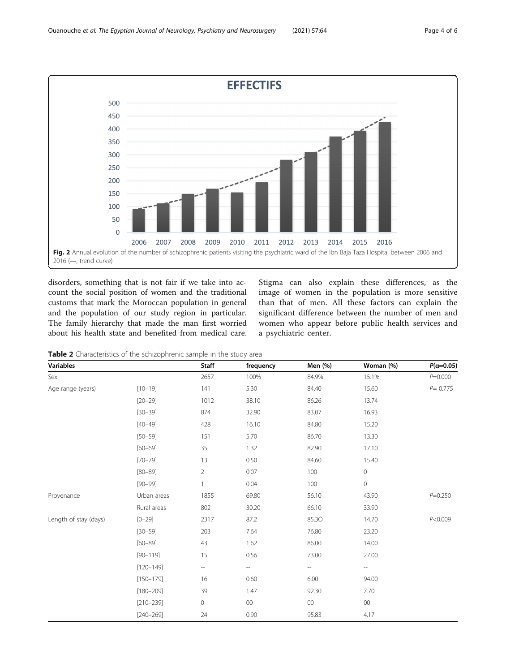<span id="page-3-0"></span>

disorders, something that is not fair if we take into account the social position of women and the traditional customs that mark the Moroccan population in general and the population of our study region in particular. The family hierarchy that made the man first worried about his health state and benefited from medical care. Stigma can also explain these differences, as the image of women in the population is more sensitive than that of men. All these factors can explain the significant difference between the number of men and women who appear before public health services and a psychiatric center.

Table 2 Characteristics of the schizophrenic sample in the study area

| <b>Variables</b>      |               | Staff                    | frequency                | Men (%) | Woman (%)                | $P(\alpha = 0.05)$ |
|-----------------------|---------------|--------------------------|--------------------------|---------|--------------------------|--------------------|
| Sex                   |               | 2657                     | 100%                     | 84.9%   | 15.1%                    | $P = 0.000$        |
| Age range (years)     | $[10 - 19]$   | 141                      | 5.30                     | 84.40   | 15.60                    | $P = 0.775$        |
|                       | $[20 - 29]$   | 1012                     | 38.10                    | 86.26   | 13.74                    |                    |
|                       | $[30 - 39]$   | 874                      | 32.90                    | 83.07   | 16.93                    |                    |
|                       | $[40 - 49]$   | 428                      | 16.10                    | 84.80   | 15.20                    |                    |
|                       | $[50 - 59]$   | 151                      | 5.70                     | 86.70   | 13.30                    |                    |
|                       | $[60 - 69]$   | 35                       | 1.32                     | 82.90   | 17.10                    |                    |
|                       | $[70 - 79]$   | 13                       | 0.50                     | 84.60   | 15.40                    |                    |
|                       | $[80 - 89]$   | $\overline{2}$           | 0.07                     | 100     | $\circ$                  |                    |
|                       | $[90 - 99]$   | 1                        | 0.04                     | 100     | $\mathsf{O}\xspace$      |                    |
| Provenance            | Urban areas   | 1855                     | 69.80                    | 56.10   | 43.90                    | $P = 0.250$        |
|                       | Rural areas   | 802                      | 30.20                    | 66.10   | 33.90                    |                    |
| Length of stay (days) | $[0 - 29]$    | 2317                     | 87.2                     | 85.3O   | 14.70                    | P<0.009            |
|                       | $[30 - 59]$   | 203                      | 7.64                     | 76.80   | 23.20                    |                    |
|                       | $[60 - 89]$   | 43                       | 1.62                     | 86.00   | 14.00                    |                    |
|                       | $[90 - 119]$  | 15                       | 0.56                     | 73.00   | 27.00                    |                    |
|                       | $[120 - 149]$ | $\overline{\phantom{a}}$ | $\overline{\phantom{a}}$ | --      | $\overline{\phantom{a}}$ |                    |
|                       | $[150 - 179]$ | 16                       | 0.60                     | 6.00    | 94.00                    |                    |
|                       | $[180 - 209]$ | 39                       | 1.47                     | 92.30   | 7.70                     |                    |
|                       | $[210 - 239]$ | 0                        | $00\,$                   | $00\,$  | $00\,$                   |                    |
|                       | $[240 - 269]$ | 24                       | 0.90                     | 95.83   | 4.17                     |                    |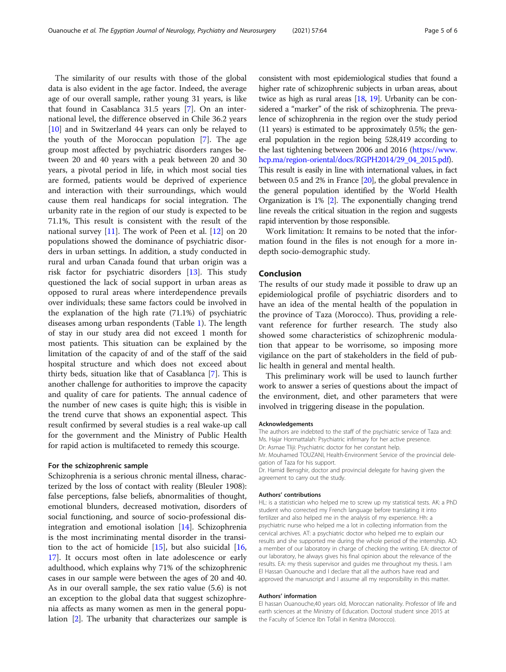The similarity of our results with those of the global data is also evident in the age factor. Indeed, the average age of our overall sample, rather young 31 years, is like that found in Casablanca 31.5 years [\[7\]](#page-5-0). On an international level, the difference observed in Chile 36.2 years [[10\]](#page-5-0) and in Switzerland 44 years can only be relayed to the youth of the Moroccan population [[7](#page-5-0)]. The age group most affected by psychiatric disorders ranges between 20 and 40 years with a peak between 20 and 30 years, a pivotal period in life, in which most social ties are formed, patients would be deprived of experience and interaction with their surroundings, which would cause them real handicaps for social integration. The urbanity rate in the region of our study is expected to be 71.1%, This result is consistent with the result of the national survey [\[11\]](#page-5-0). The work of Peen et al. [\[12\]](#page-5-0) on 20 populations showed the dominance of psychiatric disorders in urban settings. In addition, a study conducted in rural and urban Canada found that urban origin was a risk factor for psychiatric disorders [[13\]](#page-5-0). This study questioned the lack of social support in urban areas as opposed to rural areas where interdependence prevails over individuals; these same factors could be involved in the explanation of the high rate (71.1%) of psychiatric diseases among urban respondents (Table [1](#page-2-0)). The length of stay in our study area did not exceed 1 month for most patients. This situation can be explained by the limitation of the capacity of and of the staff of the said hospital structure and which does not exceed about thirty beds, situation like that of Casablanca [\[7](#page-5-0)]. This is another challenge for authorities to improve the capacity and quality of care for patients. The annual cadence of the number of new cases is quite high; this is visible in the trend curve that shows an exponential aspect. This result confirmed by several studies is a real wake-up call for the government and the Ministry of Public Health for rapid action is multifaceted to remedy this scourge.

### For the schizophrenic sample

Schizophrenia is a serious chronic mental illness, characterized by the loss of contact with reality (Bleuler 1908): false perceptions, false beliefs, abnormalities of thought, emotional blunders, decreased motivation, disorders of social functioning, and source of socio-professional disintegration and emotional isolation [\[14](#page-5-0)]. Schizophrenia is the most incriminating mental disorder in the transition to the act of homicide [\[15\]](#page-5-0), but also suicidal [[16](#page-5-0), [17\]](#page-5-0). It occurs most often in late adolescence or early adulthood, which explains why 71% of the schizophrenic cases in our sample were between the ages of 20 and 40. As in our overall sample, the sex ratio value (5.6) is not an exception to the global data that suggest schizophrenia affects as many women as men in the general population [[2](#page-5-0)]. The urbanity that characterizes our sample is

consistent with most epidemiological studies that found a higher rate of schizophrenic subjects in urban areas, about twice as high as rural areas  $[18, 19]$  $[18, 19]$  $[18, 19]$ . Urbanity can be considered a "marker" of the risk of schizophrenia. The prevalence of schizophrenia in the region over the study period (11 years) is estimated to be approximately 0.5%; the general population in the region being 528,419 according to the last tightening between 2006 and 2016 ([https://www.](https://www.hcp.ma/region-oriental/docs/RGPH2014/29_04_2015.pdf) [hcp.ma/region-oriental/docs/RGPH2014/29\\_04\\_2015.pdf](https://www.hcp.ma/region-oriental/docs/RGPH2014/29_04_2015.pdf)). This result is easily in line with international values, in fact between 0.5 and 2% in France [\[20\]](#page-5-0), the global prevalence in the general population identified by the World Health Organization is 1% [\[2](#page-5-0)]. The exponentially changing trend line reveals the critical situation in the region and suggests rapid intervention by those responsible.

Work limitation: It remains to be noted that the information found in the files is not enough for a more indepth socio-demographic study.

## Conclusion

The results of our study made it possible to draw up an epidemiological profile of psychiatric disorders and to have an idea of the mental health of the population in the province of Taza (Morocco). Thus, providing a relevant reference for further research. The study also showed some characteristics of schizophrenic modulation that appear to be worrisome, so imposing more vigilance on the part of stakeholders in the field of public health in general and mental health.

This preliminary work will be used to launch further work to answer a series of questions about the impact of the environment, diet, and other parameters that were involved in triggering disease in the population.

#### Acknowledgements

The authors are indebted to the staff of the psychiatric service of Taza and: Ms. Hajar Hormattalah: Psychiatric infirmary for her active presence. Dr: Asmae Tliji: Psychiatric doctor for her constant help. Mr. Mouhamed TOUZANI, Health-Environment Service of the provincial dele-

gation of Taza for his support. Dr. Hamid Bensghir, doctor and provincial delegate for having given the

agreement to carry out the study.

#### Authors' contributions

HL: is a statistician who helped me to screw up my statistical tests. AK: a PhD student who corrected my French language before translating it into fertilizer and also helped me in the analysis of my experience. Hh: a psychiatric nurse who helped me a lot in collecting information from the cervical archives. AT: a psychiatric doctor who helped me to explain our results and she supported me during the whole period of the internship. AO: a member of our laboratory in charge of checking the writing. EA: director of our laboratory, he always gives his final opinion about the relevance of the results. EA: my thesis supervisor and guides me throughout my thesis. I am El Hassan Ouanouche and I declare that all the authors have read and approved the manuscript and I assume all my responsibility in this matter.

#### Authors' information

El hassan Ouanouche,40 years old, Moroccan nationality. Professor of life and earth sciences at the Ministry of Education. Doctoral student since 2015 at the Faculty of Science Ibn Tofail in Kenitra (Morocco).